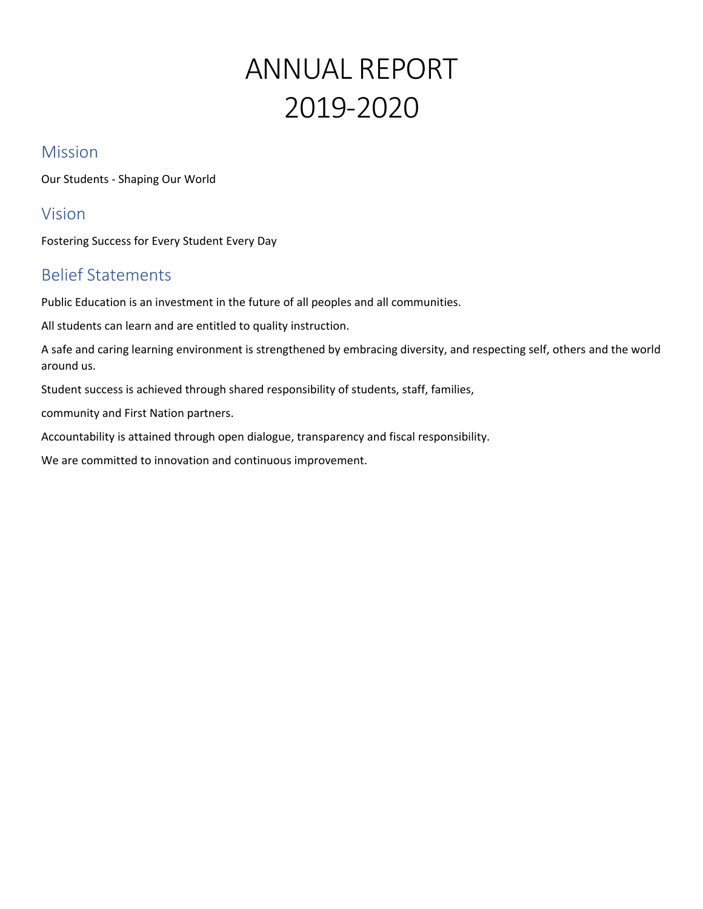# ANNUAL REPORT 2019-2020

# Mission

Our Students - Shaping Our World

# Vision

Fostering Success for Every Student Every Day

# Belief Statements

Public Education is an investment in the future of all peoples and all communities.

All students can learn and are entitled to quality instruction.

A safe and caring learning environment is strengthened by embracing diversity, and respecting self, others and the world around us.

Student success is achieved through shared responsibility of students, staff, families,

community and First Nation partners.

Accountability is attained through open dialogue, transparency and fiscal responsibility.

We are committed to innovation and continuous improvement.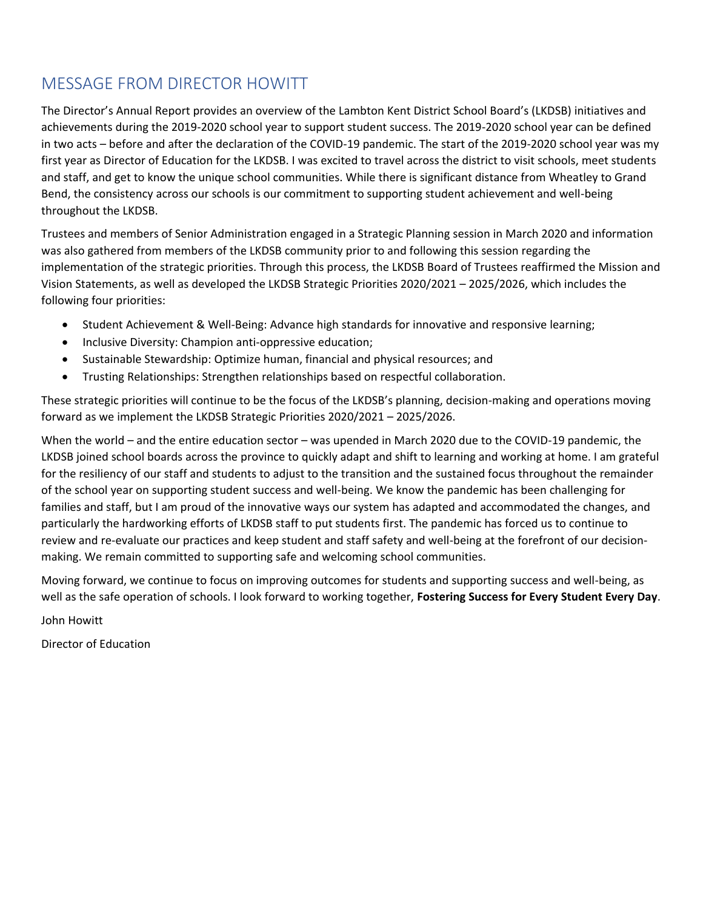# MESSAGE FROM DIRECTOR HOWITT

The Director's Annual Report provides an overview of the Lambton Kent District School Board's (LKDSB) initiatives and achievements during the 2019-2020 school year to support student success. The 2019-2020 school year can be defined in two acts – before and after the declaration of the COVID-19 pandemic. The start of the 2019-2020 school year was my first year as Director of Education for the LKDSB. I was excited to travel across the district to visit schools, meet students and staff, and get to know the unique school communities. While there is significant distance from Wheatley to Grand Bend, the consistency across our schools is our commitment to supporting student achievement and well-being throughout the LKDSB.

Trustees and members of Senior Administration engaged in a Strategic Planning session in March 2020 and information was also gathered from members of the LKDSB community prior to and following this session regarding the implementation of the strategic priorities. Through this process, the LKDSB Board of Trustees reaffirmed the Mission and Vision Statements, as well as developed the LKDSB Strategic Priorities 2020/2021 – 2025/2026, which includes the following four priorities:

- Student Achievement & Well-Being: Advance high standards for innovative and responsive learning;
- Inclusive Diversity: Champion anti-oppressive education;
- Sustainable Stewardship: Optimize human, financial and physical resources; and
- Trusting Relationships: Strengthen relationships based on respectful collaboration.

These strategic priorities will continue to be the focus of the LKDSB's planning, decision-making and operations moving forward as we implement the LKDSB Strategic Priorities 2020/2021 – 2025/2026.

 particularly the hardworking efforts of LKDSB staff to put students first. The pandemic has forced us to continue to When the world – and the entire education sector – was upended in March 2020 due to the COVID-19 pandemic, the LKDSB joined school boards across the province to quickly adapt and shift to learning and working at home. I am grateful for the resiliency of our staff and students to adjust to the transition and the sustained focus throughout the remainder of the school year on supporting student success and well-being. We know the pandemic has been challenging for families and staff, but I am proud of the innovative ways our system has adapted and accommodated the changes, and review and re-evaluate our practices and keep student and staff safety and well-being at the forefront of our decisionmaking. We remain committed to supporting safe and welcoming school communities.

Moving forward, we continue to focus on improving outcomes for students and supporting success and well-being, as well as the safe operation of schools. I look forward to working together, **Fostering Success for Every Student Every Day**.

John Howitt

Director of Education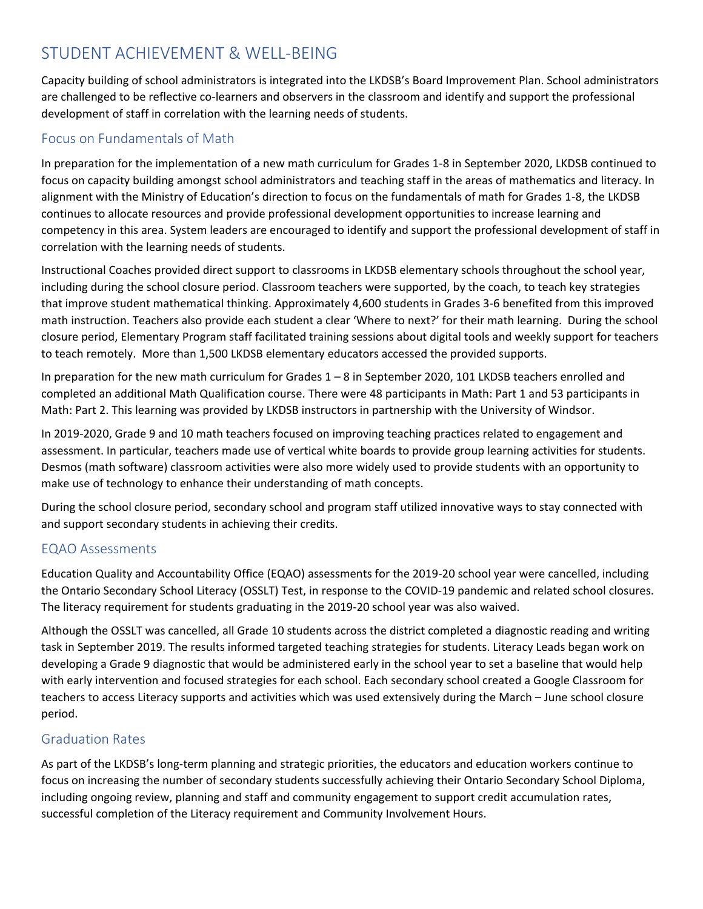# STUDENT ACHIEVEMENT & WELL-BEING

Capacity building of school administrators is integrated into the LKDSB's Board Improvement Plan. School administrators are challenged to be reflective co-learners and observers in the classroom and identify and support the professional development of staff in correlation with the learning needs of students.

# Focus on Fundamentals of Math

In preparation for the implementation of a new math curriculum for Grades 1-8 in September 2020, LKDSB continued to focus on capacity building amongst school administrators and teaching staff in the areas of mathematics and literacy. In alignment with the Ministry of Education's direction to focus on the fundamentals of math for Grades 1-8, the LKDSB continues to allocate resources and provide professional development opportunities to increase learning and competency in this area. System leaders are encouraged to identify and support the professional development of staff in correlation with the learning needs of students.

 math instruction. Teachers also provide each student a clear 'Where to next?' for their math learning. During the school Instructional Coaches provided direct support to classrooms in LKDSB elementary schools throughout the school year, including during the school closure period. Classroom teachers were supported, by the coach, to teach key strategies that improve student mathematical thinking. Approximately 4,600 students in Grades 3-6 benefited from this improved closure period, Elementary Program staff facilitated training sessions about digital tools and weekly support for teachers to teach remotely. More than 1,500 LKDSB elementary educators accessed the provided supports.

In preparation for the new math curriculum for Grades 1 – 8 in September 2020, 101 LKDSB teachers enrolled and completed an additional Math Qualification course. There were 48 participants in Math: Part 1 and 53 participants in Math: Part 2. This learning was provided by LKDSB instructors in partnership with the University of Windsor.

In 2019-2020, Grade 9 and 10 math teachers focused on improving teaching practices related to engagement and assessment. In particular, teachers made use of vertical white boards to provide group learning activities for students. Desmos (math software) classroom activities were also more widely used to provide students with an opportunity to make use of technology to enhance their understanding of math concepts.

During the school closure period, secondary school and program staff utilized innovative ways to stay connected with and support secondary students in achieving their credits.

# EQAO Assessments

Education Quality and Accountability Office (EQAO) assessments for the 2019-20 school year were cancelled, including the Ontario Secondary School Literacy (OSSLT) Test, in response to the COVID-19 pandemic and related school closures. The literacy requirement for students graduating in the 2019-20 school year was also waived.

Although the OSSLT was cancelled, all Grade 10 students across the district completed a diagnostic reading and writing task in September 2019. The results informed targeted teaching strategies for students. Literacy Leads began work on developing a Grade 9 diagnostic that would be administered early in the school year to set a baseline that would help with early intervention and focused strategies for each school. Each secondary school created a Google Classroom for teachers to access Literacy supports and activities which was used extensively during the March – June school closure period.

# Graduation Rates

As part of the LKDSB's long-term planning and strategic priorities, the educators and education workers continue to focus on increasing the number of secondary students successfully achieving their Ontario Secondary School Diploma, including ongoing review, planning and staff and community engagement to support credit accumulation rates, successful completion of the Literacy requirement and Community Involvement Hours.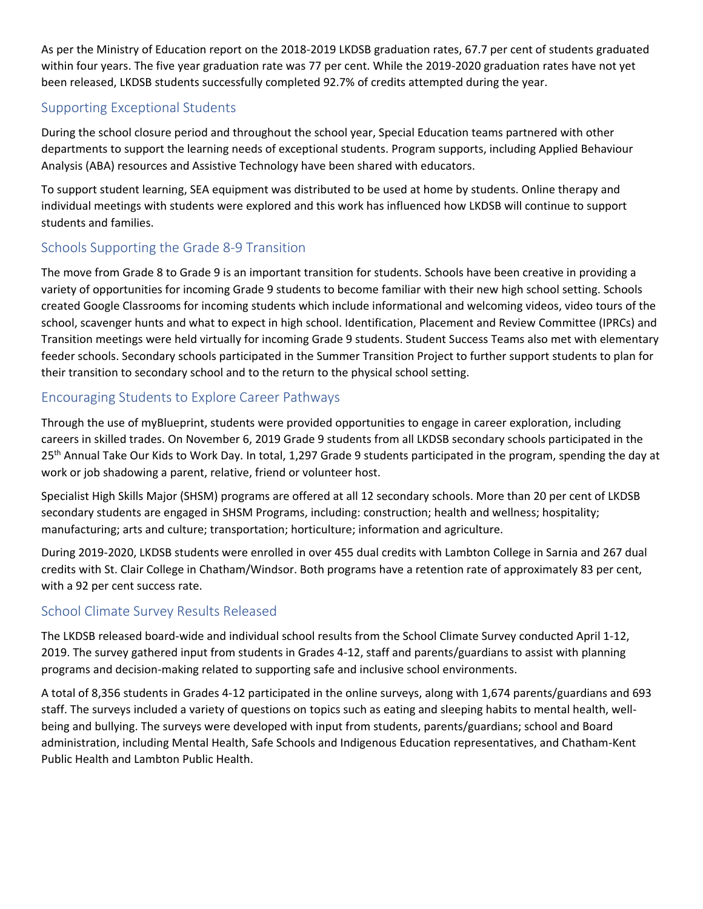As per the Ministry of Education report on the 2018-2019 LKDSB graduation rates, 67.7 per cent of students graduated within four years. The five year graduation rate was 77 per cent. While the 2019-2020 graduation rates have not yet been released, LKDSB students successfully completed 92.7% of credits attempted during the year.

# Supporting Exceptional Students

During the school closure period and throughout the school year, Special Education teams partnered with other departments to support the learning needs of exceptional students. Program supports, including Applied Behaviour Analysis (ABA) resources and Assistive Technology have been shared with educators.

To support student learning, SEA equipment was distributed to be used at home by students. Online therapy and individual meetings with students were explored and this work has influenced how LKDSB will continue to support students and families.

# Schools Supporting the Grade 8-9 Transition

The move from Grade 8 to Grade 9 is an important transition for students. Schools have been creative in providing a variety of opportunities for incoming Grade 9 students to become familiar with their new high school setting. Schools created Google Classrooms for incoming students which include informational and welcoming videos, video tours of the school, scavenger hunts and what to expect in high school. Identification, Placement and Review Committee (IPRCs) and Transition meetings were held virtually for incoming Grade 9 students. Student Success Teams also met with elementary feeder schools. Secondary schools participated in the Summer Transition Project to further support students to plan for their transition to secondary school and to the return to the physical school setting.

# Encouraging Students to Explore Career Pathways

Through the use of myBlueprint, students were provided opportunities to engage in career exploration, including careers in skilled trades. On November 6, 2019 Grade 9 students from all LKDSB secondary schools participated in the 25<sup>th</sup> Annual Take Our Kids to Work Day. In total, 1,297 Grade 9 students participated in the program, spending the day at work or job shadowing a parent, relative, friend or volunteer host.

 secondary students are engaged in SHSM Programs, including: construction; health and wellness; hospitality; Specialist High Skills Major (SHSM) programs are offered at all 12 secondary schools. More than 20 per cent of LKDSB manufacturing; arts and culture; transportation; horticulture; information and agriculture.

During 2019-2020, LKDSB students were enrolled in over 455 dual credits with Lambton College in Sarnia and 267 dual credits with St. Clair College in Chatham/Windsor. Both programs have a retention rate of approximately 83 per cent, with a 92 per cent success rate.

# School Climate Survey Results Released

The LKDSB released board-wide and individual school results from the School Climate Survey conducted April 1-12, 2019. The survey gathered input from students in Grades 4-12, staff and parents/guardians to assist with planning programs and decision-making related to supporting safe and inclusive school environments.

A total of 8,356 students in Grades 4-12 participated in the online surveys, along with 1,674 parents/guardians and 693 staff. The surveys included a variety of questions on topics such as eating and sleeping habits to mental health, wellbeing and bullying. The surveys were developed with input from students, parents/guardians; school and Board administration, including Mental Health, Safe Schools and Indigenous Education representatives, and Chatham-Kent Public Health and Lambton Public Health.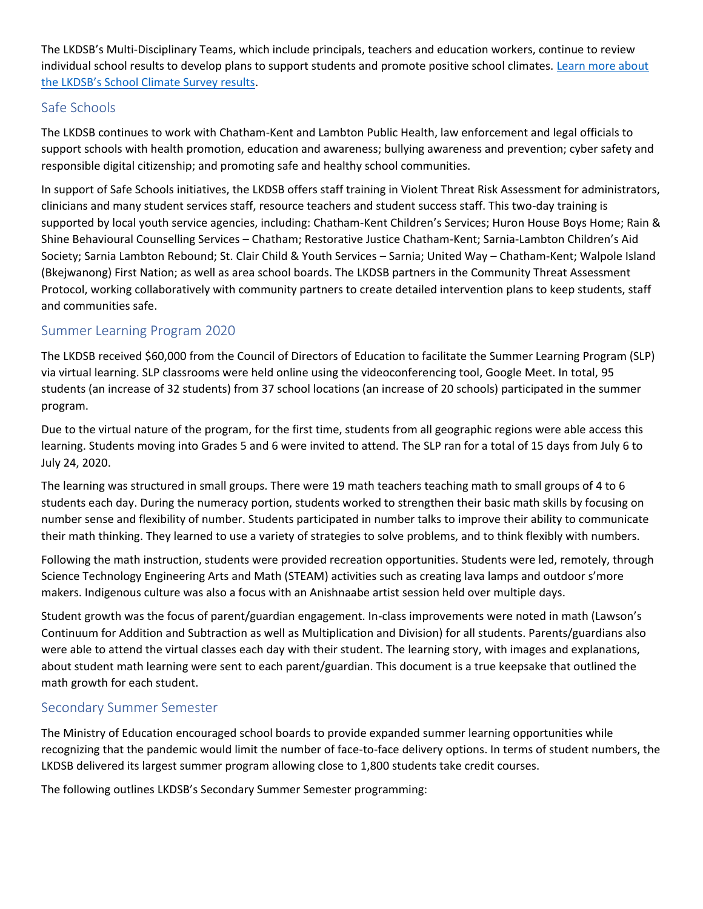The LKDSB's Multi-Disciplinary Teams, which include principals, teachers and education workers, continue to review individual school results to develop plans to support students and promote positive school climates. [Learn more about](https://www.lkdsb.net/Board/Community/SafeSchools/SchoolClimateSurvey/Pages/default.aspx#/=)  [the LKDSB's School Climate Survey results](https://www.lkdsb.net/Board/Community/SafeSchools/SchoolClimateSurvey/Pages/default.aspx#/=).

# Safe Schools

The LKDSB continues to work with Chatham-Kent and Lambton Public Health, law enforcement and legal officials to support schools with health promotion, education and awareness; bullying awareness and prevention; cyber safety and responsible digital citizenship; and promoting safe and healthy school communities.

In support of Safe Schools initiatives, the LKDSB offers staff training in Violent Threat Risk Assessment for administrators, clinicians and many student services staff, resource teachers and student success staff. This two-day training is supported by local youth service agencies, including: Chatham-Kent Children's Services; Huron House Boys Home; Rain & Shine Behavioural Counselling Services – Chatham; Restorative Justice Chatham-Kent; Sarnia-Lambton Children's Aid Society; Sarnia Lambton Rebound; St. Clair Child & Youth Services – Sarnia; United Way – Chatham-Kent; Walpole Island (Bkejwanong) First Nation; as well as area school boards. The LKDSB partners in the Community Threat Assessment Protocol, working collaboratively with community partners to create detailed intervention plans to keep students, staff and communities safe.

# Summer Learning Program 2020

The LKDSB received \$60,000 from the Council of Directors of Education to facilitate the Summer Learning Program (SLP) via virtual learning. SLP classrooms were held online using the videoconferencing tool, Google Meet. In total, 95 students (an increase of 32 students) from 37 school locations (an increase of 20 schools) participated in the summer program.

Due to the virtual nature of the program, for the first time, students from all geographic regions were able access this learning. Students moving into Grades 5 and 6 were invited to attend. The SLP ran for a total of 15 days from July 6 to July 24, 2020.

The learning was structured in small groups. There were 19 math teachers teaching math to small groups of 4 to 6 students each day. During the numeracy portion, students worked to strengthen their basic math skills by focusing on number sense and flexibility of number. Students participated in number talks to improve their ability to communicate their math thinking. They learned to use a variety of strategies to solve problems, and to think flexibly with numbers.

Following the math instruction, students were provided recreation opportunities. Students were led, remotely, through Science Technology Engineering Arts and Math (STEAM) activities such as creating lava lamps and outdoor s'more makers. Indigenous culture was also a focus with an Anishnaabe artist session held over multiple days.

Student growth was the focus of parent/guardian engagement. In-class improvements were noted in math (Lawson's Continuum for Addition and Subtraction as well as Multiplication and Division) for all students. Parents/guardians also were able to attend the virtual classes each day with their student. The learning story, with images and explanations, about student math learning were sent to each parent/guardian. This document is a true keepsake that outlined the math growth for each student.

# Secondary Summer Semester

The Ministry of Education encouraged school boards to provide expanded summer learning opportunities while recognizing that the pandemic would limit the number of face-to-face delivery options. In terms of student numbers, the LKDSB delivered its largest summer program allowing close to 1,800 students take credit courses.

The following outlines LKDSB's Secondary Summer Semester programming: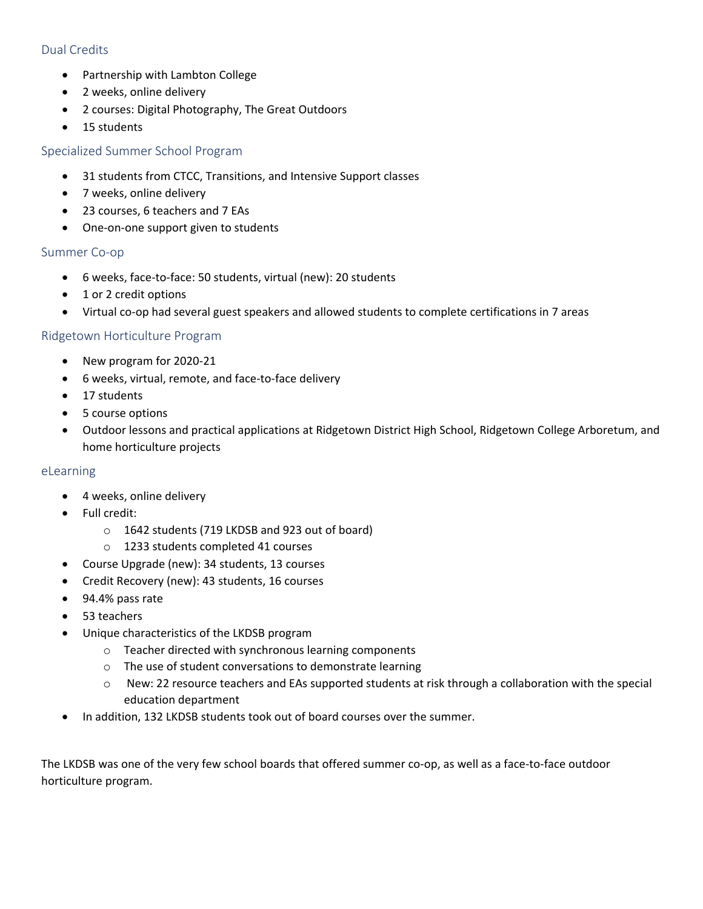#### Dual Credits

- Partnership with Lambton College
- 2 weeks, online delivery
- 2 courses: Digital Photography, The Great Outdoors
- 15 students

#### Specialized Summer School Program

- 31 students from CTCC, Transitions, and Intensive Support classes
- 7 weeks, online delivery
- 23 courses, 6 teachers and 7 EAs
- One-on-one support given to students

#### Summer Co-op

- 6 weeks, face-to-face: 50 students, virtual (new): 20 students
- 1 or 2 credit options
- Virtual co-op had several guest speakers and allowed students to complete certifications in 7 areas

#### Ridgetown Horticulture Program

- New program for 2020-21
- 6 weeks, virtual, remote, and face-to-face delivery
- 17 students
- 5 course options
- Outdoor lessons and practical applications at Ridgetown District High School, Ridgetown College Arboretum, and home horticulture projects

#### eLearning

- 4 weeks, online delivery
- Full credit:
	- o 1642 students (719 LKDSB and 923 out of board)
	- o 1233 students completed 41 courses
- Course Upgrade (new): 34 students, 13 courses
- Credit Recovery (new): 43 students, 16 courses
- 94.4% pass rate
- 53 teachers
- Unique characteristics of the LKDSB program
	- o Teacher directed with synchronous learning components
	- o The use of student conversations to demonstrate learning
	- o New: 22 resource teachers and EAs supported students at risk through a collaboration with the special education department
- In addition, 132 LKDSB students took out of board courses over the summer.

The LKDSB was one of the very few school boards that offered summer co-op, as well as a face-to-face outdoor horticulture program.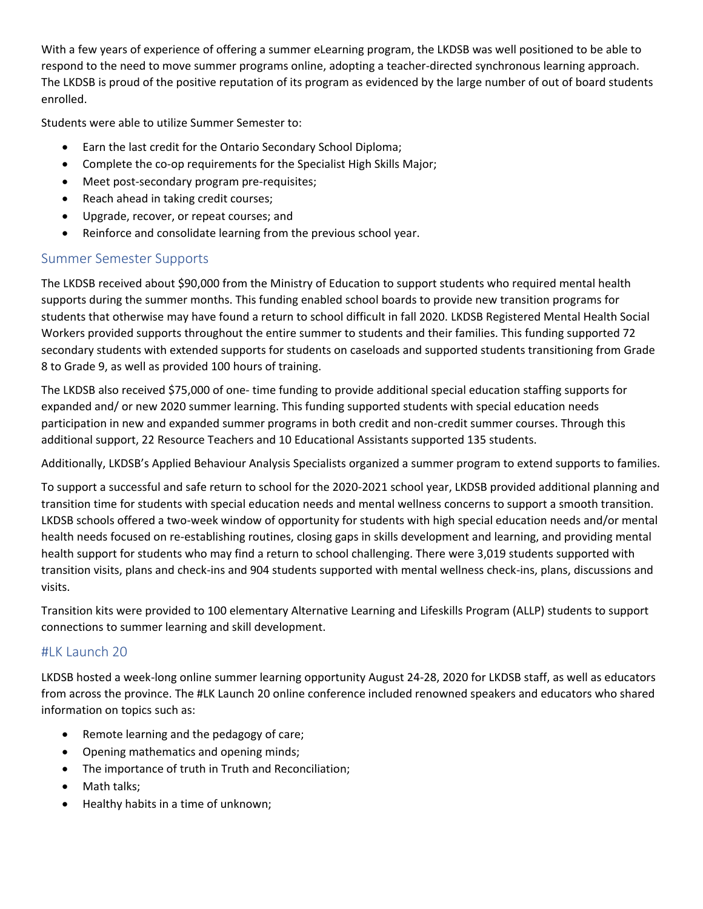With a few years of experience of offering a summer eLearning program, the LKDSB was well positioned to be able to respond to the need to move summer programs online, adopting a teacher-directed synchronous learning approach. The LKDSB is proud of the positive reputation of its program as evidenced by the large number of out of board students enrolled.

Students were able to utilize Summer Semester to:

- Earn the last credit for the Ontario Secondary School Diploma;
- Complete the co-op requirements for the Specialist High Skills Major;
- Meet post-secondary program pre-requisites;
- Reach ahead in taking credit courses;
- Upgrade, recover, or repeat courses; and
- Reinforce and consolidate learning from the previous school year.

# Summer Semester Supports

The LKDSB received about \$90,000 from the Ministry of Education to support students who required mental health supports during the summer months. This funding enabled school boards to provide new transition programs for students that otherwise may have found a return to school difficult in fall 2020. LKDSB Registered Mental Health Social Workers provided supports throughout the entire summer to students and their families. This funding supported 72 secondary students with extended supports for students on caseloads and supported students transitioning from Grade 8 to Grade 9, as well as provided 100 hours of training.

The LKDSB also received \$75,000 of one-time funding to provide additional special education staffing supports for expanded and/ or new 2020 summer learning. This funding supported students with special education needs participation in new and expanded summer programs in both credit and non-credit summer courses. Through this additional support, 22 Resource Teachers and 10 Educational Assistants supported 135 students.

Additionally, LKDSB's Applied Behaviour Analysis Specialists organized a summer program to extend supports to families.

To support a successful and safe return to school for the 2020-2021 school year, LKDSB provided additional planning and transition time for students with special education needs and mental wellness concerns to support a smooth transition. LKDSB schools offered a two-week window of opportunity for students with high special education needs and/or mental health needs focused on re-establishing routines, closing gaps in skills development and learning, and providing mental health support for students who may find a return to school challenging. There were 3,019 students supported with transition visits, plans and check-ins and 904 students supported with mental wellness check-ins, plans, discussions and visits.

Transition kits were provided to 100 elementary Alternative Learning and Lifeskills Program (ALLP) students to support connections to summer learning and skill development.

# #LK Launch 20

LKDSB hosted a week-long online summer learning opportunity August 24-28, 2020 for LKDSB staff, as well as educators from across the province. The #LK Launch 20 online conference included renowned speakers and educators who shared information on topics such as:

- Remote learning and the pedagogy of care;
- Opening mathematics and opening minds;
- The importance of truth in Truth and Reconciliation;
- Math talks;
- Healthy habits in a time of unknown;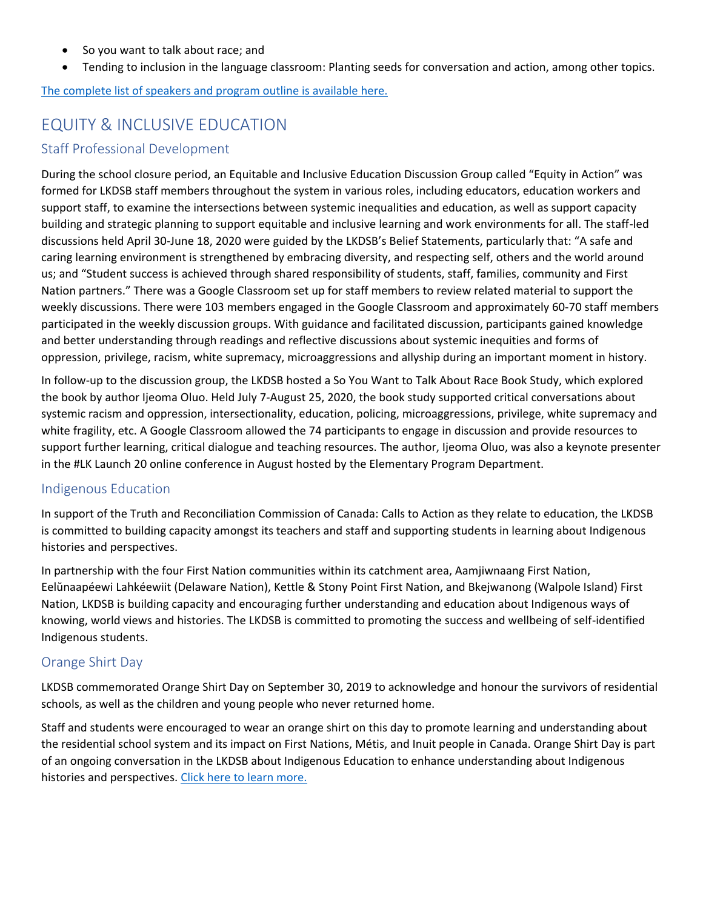- So you want to talk about race; and
- Tending to inclusion in the language classroom: Planting seeds for conversation and action, among other topics.

[The complete list of speakers and program outline is available here.](https://drive.google.com/file/d/1prCyUoRLFrFgns7BB93qEhn9hgGf7QJ_/view) 

# EQUITY & INCLUSIVE EDUCATION

#### Staff Professional Development

 us; and "Student success is achieved through shared responsibility of students, staff, families, community and First Nation partners." There was a Google Classroom set up for staff members to review related material to support the During the school closure period, an Equitable and Inclusive Education Discussion Group called "Equity in Action" was formed for LKDSB staff members throughout the system in various roles, including educators, education workers and support staff, to examine the intersections between systemic inequalities and education, as well as support capacity building and strategic planning to support equitable and inclusive learning and work environments for all. The staff-led discussions held April 30-June 18, 2020 were guided by the LKDSB's Belief Statements, particularly that: "A safe and caring learning environment is strengthened by embracing diversity, and respecting self, others and the world around weekly discussions. There were 103 members engaged in the Google Classroom and approximately 60-70 staff members participated in the weekly discussion groups. With guidance and facilitated discussion, participants gained knowledge and better understanding through readings and reflective discussions about systemic inequities and forms of oppression, privilege, racism, white supremacy, microaggressions and allyship during an important moment in history.

In follow-up to the discussion group, the LKDSB hosted a So You Want to Talk About Race Book Study, which explored the book by author Ijeoma Oluo. Held July 7-August 25, 2020, the book study supported critical conversations about systemic racism and oppression, intersectionality, education, policing, microaggressions, privilege, white supremacy and white fragility, etc. A Google Classroom allowed the 74 participants to engage in discussion and provide resources to support further learning, critical dialogue and teaching resources. The author, Ijeoma Oluo, was also a keynote presenter in the #LK Launch 20 online conference in August hosted by the Elementary Program Department.

#### Indigenous Education

In support of the Truth and Reconciliation Commission of Canada: Calls to Action as they relate to education, the LKDSB is committed to building capacity amongst its teachers and staff and supporting students in learning about Indigenous histories and perspectives.

In partnership with the four First Nation communities within its catchment area, Aamjiwnaang First Nation, Eelŭnaapéewi Lahkéewiit (Delaware Nation), Kettle & Stony Point First Nation, and Bkejwanong (Walpole Island) First Nation, LKDSB is building capacity and encouraging further understanding and education about Indigenous ways of knowing, world views and histories. The LKDSB is committed to promoting the success and wellbeing of self-identified Indigenous students.

# Orange Shirt Day

LKDSB commemorated Orange Shirt Day on September 30, 2019 to acknowledge and honour the survivors of residential schools, as well as the children and young people who never returned home.

Staff and students were encouraged to wear an orange shirt on this day to promote learning and understanding about the residential school system and its impact on First Nations, Métis, and Inuit people in Canada. Orange Shirt Day is part of an ongoing conversation in the LKDSB about Indigenous Education to enhance understanding about Indigenous histories and perspectives. [Click here to learn more.](https://www.lkdsb.net/pages/newsitem.aspx?ItemID=229&ListID=1cb83139-1d39-452b-8ab2-b6cfab6c2ba7&TemplateID=Announcement_Item#/=)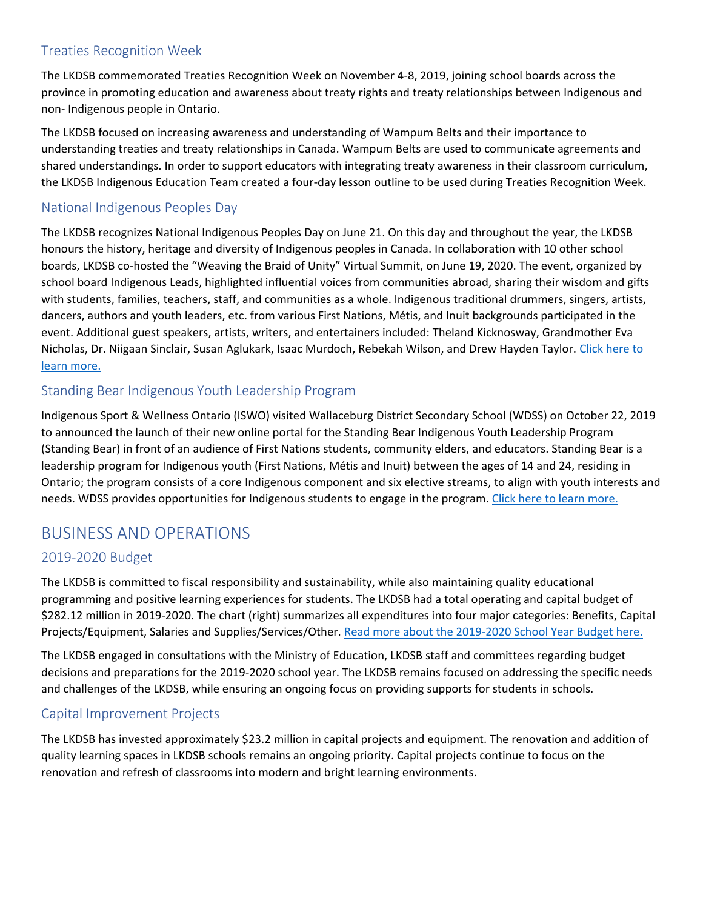# Treaties Recognition Week

The LKDSB commemorated Treaties Recognition Week on November 4-8, 2019, joining school boards across the province in promoting education and awareness about treaty rights and treaty relationships between Indigenous and non- Indigenous people in Ontario.

The LKDSB focused on increasing awareness and understanding of Wampum Belts and their importance to understanding treaties and treaty relationships in Canada. Wampum Belts are used to communicate agreements and shared understandings. In order to support educators with integrating treaty awareness in their classroom curriculum, the LKDSB Indigenous Education Team created a four-day lesson outline to be used during Treaties Recognition Week.

# National Indigenous Peoples Day

The LKDSB recognizes National Indigenous Peoples Day on June 21. On this day and throughout the year, the LKDSB honours the history, heritage and diversity of Indigenous peoples in Canada. In collaboration with 10 other school boards, LKDSB co-hosted the "Weaving the Braid of Unity" Virtual Summit, on June 19, 2020. The event, organized by school board Indigenous Leads, highlighted influential voices from communities abroad, sharing their wisdom and gifts with students, families, teachers, staff, and communities as a whole. Indigenous traditional drummers, singers, artists, dancers, authors and youth leaders, etc. from various First Nations, Métis, and Inuit backgrounds participated in the event. Additional guest speakers, artists, writers, and entertainers included: Theland Kicknosway, Grandmother Eva Nicholas, Dr. Niigaan Sinclair, Susan Aglukark, Isaac Murdoch, Rebekah Wilson, and Drew Hayden Taylor. [Click here to](https://www.lkdsb.net/pages/newsitem.aspx?ItemID=347&ListID=1cb83139-1d39-452b-8ab2-b6cfab6c2ba7&TemplateID=Announcement_Item#/=)  [learn more.](https://www.lkdsb.net/pages/newsitem.aspx?ItemID=347&ListID=1cb83139-1d39-452b-8ab2-b6cfab6c2ba7&TemplateID=Announcement_Item#/=) 

# Standing Bear Indigenous Youth Leadership Program

Indigenous Sport & Wellness Ontario (ISWO) visited Wallaceburg District Secondary School (WDSS) on October 22, 2019 to announced the launch of their new online portal for the Standing Bear Indigenous Youth Leadership Program (Standing Bear) in front of an audience of First Nations students, community elders, and educators. Standing Bear is a leadership program for Indigenous youth (First Nations, Métis and Inuit) between the ages of 14 and 24, residing in Ontario; the program consists of a core Indigenous component and six elective streams, to align with youth interests and needs. WDSS provides opportunities for Indigenous students to engage in the program[. Click here to learn more.](https://www.lkdsb.net/pages/newsitem.aspx?ItemID=247&ListID=1cb83139-1d39-452b-8ab2-b6cfab6c2ba7&TemplateID=Announcement_Item#/=) 

# BUSINESS AND OPERATIONS

# 2019-2020 Budget

The LKDSB is committed to fiscal responsibility and sustainability, while also maintaining quality educational programming and positive learning experiences for students. The LKDSB had a total operating and capital budget of \$282.12 million in 2019-2020. The chart (right) summarizes all expenditures into four major categories: Benefits, Capital Projects/Equipment, Salaries and Supplies/Services/Other. [Read more about the 2019-2020 School Year Budget here.](https://www.lkdsb.net/Board/BoardMeetings/2019%20Board%20Meetings/Agenda/June%2011%202019%20Regular%20Board%20Agenda.pdf) 

The LKDSB engaged in consultations with the Ministry of Education, LKDSB staff and committees regarding budget decisions and preparations for the 2019-2020 school year. The LKDSB remains focused on addressing the specific needs and challenges of the LKDSB, while ensuring an ongoing focus on providing supports for students in schools.

# Capital Improvement Projects

The LKDSB has invested approximately \$23.2 million in capital projects and equipment. The renovation and addition of quality learning spaces in LKDSB schools remains an ongoing priority. Capital projects continue to focus on the renovation and refresh of classrooms into modern and bright learning environments.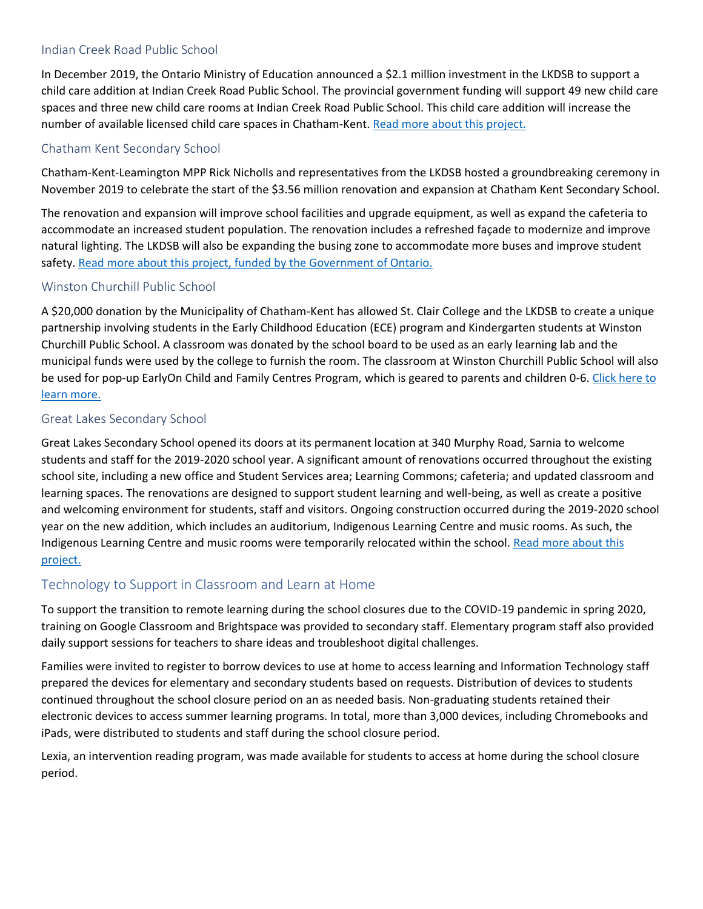## Indian Creek Road Public School

In December 2019, the Ontario Ministry of Education announced a \$2.1 million investment in the LKDSB to support a child care addition at Indian Creek Road Public School. The provincial government funding will support 49 new child care spaces and three new child care rooms at Indian Creek Road Public School. This child care addition will increase the number of available licensed child care spaces in Chatham-Kent. [Read more about this project.](https://www.lkdsb.net/pages/newsitem.aspx?ItemID=266&ListID=1cb83139-1d39-452b-8ab2-b6cfab6c2ba7&TemplateID=Announcement_Item) 

## Chatham Kent Secondary School

Chatham-Kent-Leamington MPP Rick Nicholls and representatives from the LKDSB hosted a groundbreaking ceremony in November 2019 to celebrate the start of the \$3.56 million renovation and expansion at Chatham Kent Secondary School.

The renovation and expansion will improve school facilities and upgrade equipment, as well as expand the cafeteria to accommodate an increased student population. The renovation includes a refreshed façade to modernize and improve natural lighting. The LKDSB will also be expanding the busing zone to accommodate more buses and improve student safety. [Read more about this project, funded by the Government of Ontario.](https://www.lkdsb.net/pages/newsitem.aspx?ItemID=239&ListID=1cb83139-1d39-452b-8ab2-b6cfab6c2ba7&TemplateID=Announcement_Item#/=) 

## Winston Churchill Public School

A \$20,000 donation by the Municipality of Chatham-Kent has allowed St. Clair College and the LKDSB to create a unique partnership involving students in the Early Childhood Education (ECE) program and Kindergarten students at Winston Churchill Public School. A classroom was donated by the school board to be used as an early learning lab and the municipal funds were used by the college to furnish the room. The classroom at Winston Churchill Public School will also be used for pop-up EarlyOn Child and Family Centres Program, which is geared to parents and children 0-6. Click here to [learn more.](https://www.lkdsb.net/pages/newsitem.aspx?ItemID=250&ListID=1cb83139-1d39-452b-8ab2-b6cfab6c2ba7&TemplateID=Announcement_Item#/=) 

## Great Lakes Secondary School

Great Lakes Secondary School opened its doors at its permanent location at 340 Murphy Road, Sarnia to welcome students and staff for the 2019-2020 school year. A significant amount of renovations occurred throughout the existing school site, including a new office and Student Services area; Learning Commons; cafeteria; and updated classroom and learning spaces. The renovations are designed to support student learning and well-being, as well as create a positive and welcoming environment for students, staff and visitors. Ongoing construction occurred during the 2019-2020 school year on the new addition, which includes an auditorium, Indigenous Learning Centre and music rooms. As such, the Indigenous Learning Centre and music rooms were temporarily relocated within the school. [Read more about this](https://www.lkdsb.net/pages/newsitem.aspx?ItemID=226&ListID=1cb83139-1d39-452b-8ab2-b6cfab6c2ba7&TemplateID=Announcement_Item#/=)  [project.](https://www.lkdsb.net/pages/newsitem.aspx?ItemID=226&ListID=1cb83139-1d39-452b-8ab2-b6cfab6c2ba7&TemplateID=Announcement_Item#/=) 

# Technology to Support in Classroom and Learn at Home

To support the transition to remote learning during the school closures due to the COVID-19 pandemic in spring 2020, training on Google Classroom and Brightspace was provided to secondary staff. Elementary program staff also provided daily support sessions for teachers to share ideas and troubleshoot digital challenges.

Families were invited to register to borrow devices to use at home to access learning and Information Technology staff prepared the devices for elementary and secondary students based on requests. Distribution of devices to students continued throughout the school closure period on an as needed basis. Non-graduating students retained their electronic devices to access summer learning programs. In total, more than 3,000 devices, including Chromebooks and iPads, were distributed to students and staff during the school closure period.

Lexia, an intervention reading program, was made available for students to access at home during the school closure period.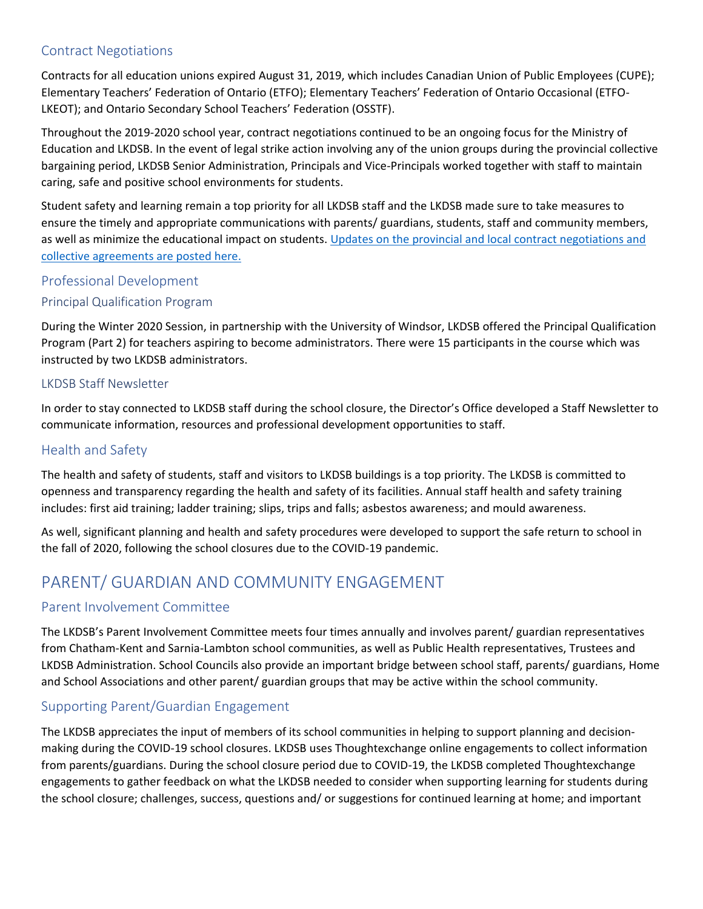# Contract Negotiations

Contracts for all education unions expired August 31, 2019, which includes Canadian Union of Public Employees (CUPE); Elementary Teachers' Federation of Ontario (ETFO); Elementary Teachers' Federation of Ontario Occasional (ETFO-LKEOT); and Ontario Secondary School Teachers' Federation (OSSTF).

Throughout the 2019-2020 school year, contract negotiations continued to be an ongoing focus for the Ministry of Education and LKDSB. In the event of legal strike action involving any of the union groups during the provincial collective bargaining period, LKDSB Senior Administration, Principals and Vice-Principals worked together with staff to maintain caring, safe and positive school environments for students.

Student safety and learning remain a top priority for all LKDSB staff and the LKDSB made sure to take measures to ensure the timely and appropriate communications with parents/ guardians, students, staff and community members, as well as minimize the educational impact on students. [Updates on the provincial and local contract negotiations and](https://www.lkdsb.net/Board/ContractNegotiations/Pages/default.aspx#/=)  [collective agreements are posted here.](https://www.lkdsb.net/Board/ContractNegotiations/Pages/default.aspx#/=) 

## Professional Development

#### Principal Qualification Program

During the Winter 2020 Session, in partnership with the University of Windsor, LKDSB offered the Principal Qualification Program (Part 2) for teachers aspiring to become administrators. There were 15 participants in the course which was instructed by two LKDSB administrators.

#### LKDSB Staff Newsletter

In order to stay connected to LKDSB staff during the school closure, the Director's Office developed a Staff Newsletter to communicate information, resources and professional development opportunities to staff.

# Health and Safety

The health and safety of students, staff and visitors to LKDSB buildings is a top priority. The LKDSB is committed to openness and transparency regarding the health and safety of its facilities. Annual staff health and safety training includes: first aid training; ladder training; slips, trips and falls; asbestos awareness; and mould awareness.

As well, significant planning and health and safety procedures were developed to support the safe return to school in the fall of 2020, following the school closures due to the COVID-19 pandemic.

# PARENT/ GUARDIAN AND COMMUNITY ENGAGEMENT

#### Parent Involvement Committee

The LKDSB's Parent Involvement Committee meets four times annually and involves parent/ guardian representatives from Chatham-Kent and Sarnia-Lambton school communities, as well as Public Health representatives, Trustees and LKDSB Administration. School Councils also provide an important bridge between school staff, parents/ guardians, Home and School Associations and other parent/ guardian groups that may be active within the school community.

# Supporting Parent/Guardian Engagement

The LKDSB appreciates the input of members of its school communities in helping to support planning and decisionmaking during the COVID-19 school closures. LKDSB uses Thoughtexchange online engagements to collect information from parents/guardians. During the school closure period due to COVID-19, the LKDSB completed Thoughtexchange engagements to gather feedback on what the LKDSB needed to consider when supporting learning for students during the school closure; challenges, success, questions and/ or suggestions for continued learning at home; and important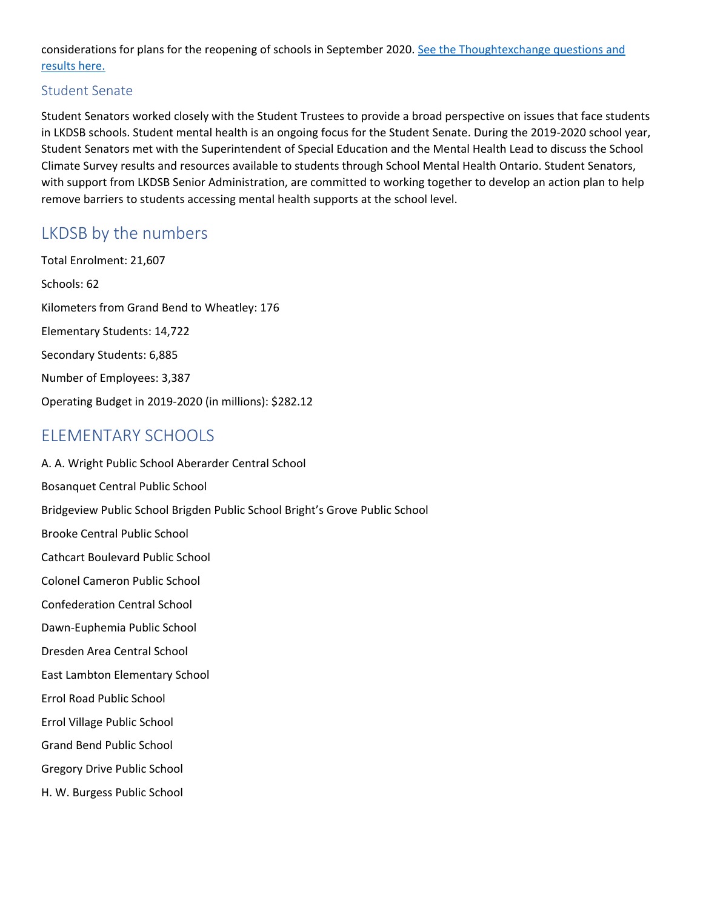considerations for plans for the reopening of schools in September 2020. [See the Thoughtexchange questions and](https://www.lkdsb.net/Board/Community/PublicHealth/Pages/default.aspx#/=)  [results here.](https://www.lkdsb.net/Board/Community/PublicHealth/Pages/default.aspx#/=) 

## Student Senate

 with support from LKDSB Senior Administration, are committed to working together to develop an action plan to help Student Senators worked closely with the Student Trustees to provide a broad perspective on issues that face students in LKDSB schools. Student mental health is an ongoing focus for the Student Senate. During the 2019-2020 school year, Student Senators met with the Superintendent of Special Education and the Mental Health Lead to discuss the School Climate Survey results and resources available to students through School Mental Health Ontario. Student Senators, remove barriers to students accessing mental health supports at the school level.

# LKDSB by the numbers

Total Enrolment: 21,607 Schools: 62 Kilometers from Grand Bend to Wheatley: 176 Elementary Students: 14,722 Secondary Students: 6,885 Number of Employees: 3,387 Operating Budget in 2019-2020 (in millions): \$282.12

# ELEMENTARY SCHOOLS

A. A. Wright Public School Aberarder Central School Bosanquet Central Public School Bridgeview Public School Brigden Public School Bright's Grove Public School Brooke Central Public School Cathcart Boulevard Public School Colonel Cameron Public School Confederation Central School Dawn-Euphemia Public School Dresden Area Central School East Lambton Elementary School Errol Road Public School Errol Village Public School Grand Bend Public School Gregory Drive Public School H. W. Burgess Public School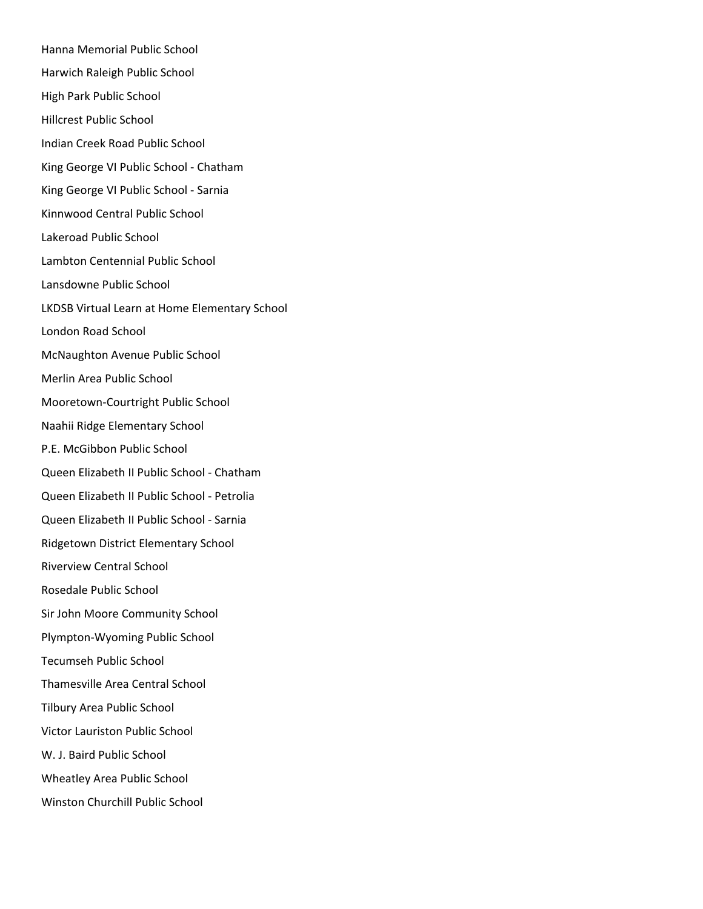Hanna Memorial Public School Harwich Raleigh Public School High Park Public School Hillcrest Public School Indian Creek Road Public School King George VI Public School - Chatham King George VI Public School - Sarnia Kinnwood Central Public School Lakeroad Public School Lambton Centennial Public School Lansdowne Public School LKDSB Virtual Learn at Home Elementary School London Road School McNaughton Avenue Public School Merlin Area Public School Mooretown-Courtright Public School Naahii Ridge Elementary School P.E. McGibbon Public School Queen Elizabeth II Public School - Chatham Queen Elizabeth II Public School - Petrolia Queen Elizabeth II Public School - Sarnia Ridgetown District Elementary School Riverview Central School Rosedale Public School Sir John Moore Community School Plympton-Wyoming Public School Tecumseh Public School Thamesville Area Central School Tilbury Area Public School Victor Lauriston Public School W. J. Baird Public School Wheatley Area Public School Winston Churchill Public School